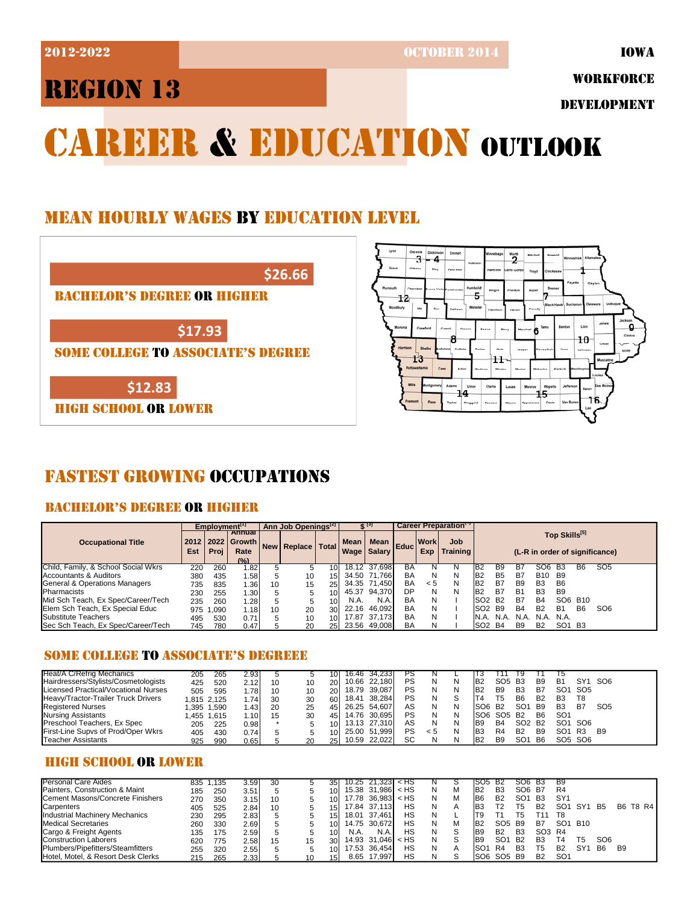2012-2022 OCTOBER 2014

IOWA

WORKFORCE

DEVELOPMENT

# CAREER & EDUCATION OUTLOOK

### MEAN HOURLY WAGES BY EDUCATION LEVEL





### FASTEST GROWING OCCUPATIONS

### BACHELOR'S DEGREE OR HIGHER

|                                     |     | Employment <sup>[1]</sup> |                                                   |    | Ann Job Openings <sup>[2]</sup> |                 |             |                                    |    |                    | Career Preparation <sup>17</sup> |                                 |           |            |                 |                                |                |                                |  |
|-------------------------------------|-----|---------------------------|---------------------------------------------------|----|---------------------------------|-----------------|-------------|------------------------------------|----|--------------------|----------------------------------|---------------------------------|-----------|------------|-----------------|--------------------------------|----------------|--------------------------------|--|
| <b>Occupational Title</b>           | Est | Proi                      | Annual<br>2012   2022   Growth  <br>Rate<br>(9/2) |    | New   Replace                   | <b>Total</b>    | <b>Mean</b> | n   Mean   Educ  <br>Wage   Salary |    | <b>Work</b><br>Exp | Job<br><b>Training</b>           |                                 |           |            |                 | Top Skills[5]                  |                | (L-R in order of significance) |  |
| Child, Family, & School Social Wkrs | 220 | 260                       | 1.82                                              |    |                                 | 10 <sup>1</sup> |             | 18.12 37.698                       | BA |                    | N                                | IB2                             | В9        |            | Jб              | -63                            | <b>B6</b>      | SO <sub>5</sub>                |  |
| Accountants & Auditors              | 380 | 435                       | .58                                               |    | 10                              | 15 I            |             | 34.50 71.766                       | BA | N                  | N                                | IB <sub>2</sub>                 | <b>B5</b> | B7         | B <sub>10</sub> | <b>B9</b>                      |                |                                |  |
| General & Operations Managers       | 735 | 835                       | . .36                                             | 10 | 15                              | 251             |             | 34.35 71.450                       | BA | < 5                | N                                | IB2                             | B7        | <b>B</b> 9 | <b>B3</b>       | B <sub>6</sub>                 |                |                                |  |
| <b>I</b> Pharmacists                | 230 | 255                       | .30                                               |    |                                 | 10              |             | 45.37 94,370                       | DP | N                  | N                                | IB2                             | B7        | <b>B1</b>  | B <sub>3</sub>  | B <sub>9</sub>                 |                |                                |  |
| Mid Sch Teach, Ex Spec/Career/Tech  | 235 | 260                       | .28                                               |    |                                 | 10 <sup>1</sup> | N.A.        | N.A.                               | BA | N                  |                                  | SO <sub>2</sub>                 | <b>B2</b> | B7         | <b>B4</b>       | SO <sub>6</sub>                | <b>B10</b>     |                                |  |
| Elem Sch Teach, Ex Special Educ     | 975 | 1.090                     | 1.18                                              | 10 | 20                              | 30 <sup>1</sup> | 22.16       | 46.092                             | BA | N                  |                                  | ISO2                            | B9        | <b>B4</b>  | <b>B2</b>       | <b>B1</b>                      | B <sub>6</sub> | SO <sub>6</sub>                |  |
| <b>Substitute Teachers</b>          | 495 | 530                       | 0.71                                              |    | 10                              | 10 <sup>1</sup> | 17.87       | 37.173                             | BA | N                  |                                  | IN.A.                           | N.A.      | N.A.       | N.A.            | N.A.                           |                |                                |  |
| Sec Sch Teach, Ex Spec/Career/Tech  | 745 | 780                       | 0.47                                              |    | 20                              | 25 <sup>1</sup> | 23.56       | 49.008                             | BA | N                  |                                  | ISO <sub>2</sub> B <sub>4</sub> |           | <b>B</b> 9 | <b>B2</b>       | SO <sub>1</sub> B <sub>3</sub> |                |                                |  |

### SOME COLLEGE TO ASSOCIATE'S DEGREEE

| <b>Heat/A C/Refrig Mechanics</b>     | 205         | 265         | 2.93  |    |    | 10              | 16.46 34,233 | ٢১ |     |   |                     |                                |                                |                |                 |                 |                 |
|--------------------------------------|-------------|-------------|-------|----|----|-----------------|--------------|----|-----|---|---------------------|--------------------------------|--------------------------------|----------------|-----------------|-----------------|-----------------|
| Hairdressers/Stylists/Cosmetologists | 425         | 520         | 2.12  | 10 | 10 | 20 <sup>1</sup> | 10.66 22.180 | PS | N   | N | B <sub>2</sub>      | SO <sub>5</sub> B <sub>3</sub> |                                | B <sub>9</sub> | <b>B1</b>       | SY <sub>1</sub> | SO6             |
| Licensed Practical/Vocational Nurses | 505         | 595         | .781  | 10 | 10 | 20 <sup>1</sup> | 18.79 39.087 | PS | N   | N | <b>B2</b>           | <b>B</b> 9                     | B <sub>3</sub>                 | B7             | SO <sub>1</sub> | SO5             |                 |
| Heavy/Tractor-Trailer Truck Drivers  | 1.815 2.125 |             | 1.741 | 30 | 30 | 60              | 18.41 38.284 | PS | N   |   | <b>T4</b>           | T5                             | <b>B6</b>                      | <b>B2</b>      | B <sub>3</sub>  | T8              |                 |
| <b>Registered Nurses</b>             |             | 1,395 1,590 | 1.43  | 20 | 25 | 451             | 26.25 54.607 | AS | N   | N | ISO6 B <sub>2</sub> |                                | SO <sub>1</sub>                | <b>B</b> 9     | B <sub>3</sub>  | <b>B7</b>       | SO <sub>5</sub> |
| <b>Nursing Assistants</b>            | 1.455 1.615 |             | 1.10  | 15 | 30 | 451             | 14.76 30.695 | PS | N   | N | <b>SO6 SO5 B2</b>   |                                |                                | B <sub>6</sub> | SO <sub>1</sub> |                 |                 |
| Preschool Teachers, Ex Spec          | 205         | 225         | 0.98  |    |    | 10 <sup>1</sup> | 13.13 27.310 | AS | N   | N | <b>B</b> 9          | <b>B4</b>                      | SO <sub>2</sub> B <sub>2</sub> |                | SO1 SO6         |                 |                 |
| First-Line Supvs of Prod/Oper Wkrs   | 405         | 430         | 0.74  |    |    | 10 <sup>1</sup> | 25.00 51.999 | PS | < 5 | N | <b>B</b> 3          | R <sub>4</sub>                 | <b>B2</b>                      | B <sub>9</sub> | SO <sub>1</sub> | R3              | B9              |
| Teacher Assistants                   | 925         | 990         | 0.65  |    | 20 | 251             | 10.59 22,022 | SC |     |   | IB <sub>2</sub>     | B <sub>9</sub>                 | SO <sub>1</sub>                | <b>B6</b>      | SO5 SO6         |                 |                 |

### HIGH SCHOOL OR LOWER

| IPersonal Care Aides                       | 835 | .135 | 3.59 | 30 |    | 35              | 10.25 | 21.323 I < HS       |        |   |   | ISO5.           | <b>B2</b>                      | SO6             | - B3                           | B9              |     |                 |                |                 |
|--------------------------------------------|-----|------|------|----|----|-----------------|-------|---------------------|--------|---|---|-----------------|--------------------------------|-----------------|--------------------------------|-----------------|-----|-----------------|----------------|-----------------|
| <b>IPainters. Construction &amp; Maint</b> | 185 | 250  | 3.51 |    |    | 10              |       | $15.38$ 31.986 < HS |        |   | М | IB <sub>2</sub> | B <sub>3</sub>                 | SO <sub>6</sub> | - B7                           | R4              |     |                 |                |                 |
| Cement Masons/Concrete Finishers           | 270 | 350  | 3.15 | 10 |    | 10 I            | 17.78 | $36.983 <$ HS       |        | N | M | IB6             | B <sub>2</sub>                 | SO <sub>1</sub> | <b>B3</b>                      | SY <sub>1</sub> |     |                 |                |                 |
| Carpenters                                 | 405 | 525  | 2.84 | 10 |    | 15I             |       | 17.84 37.113        | НS     |   | А |                 | Т2                             | Τ5              | B <sub>2</sub>                 | SO <sub>1</sub> | SY' | <b>B5</b>       |                | <b>B6 T8 R4</b> |
| Industrial Machinery Mechanics             | 230 | 295  | 2.83 |    |    | 15I             | 18.01 | 37.461              | НS     |   |   |                 |                                | T5.             |                                | - T8            |     |                 |                |                 |
| <b>Medical Secretaries</b>                 | 260 | 330  | 2.69 |    |    | 10              |       | 14.75 30.672        | НS     |   | M | IB2             | SO <sub>5</sub>                | B9              | <b>B7</b>                      | SO <sub>1</sub> | B10 |                 |                |                 |
| Cargo & Freight Agents                     | 135 | 175  | 2.59 |    |    | 10              | N.A.  | N.A                 | НS     |   | S | IB9             | B <sub>2</sub>                 | <b>B3</b>       | SO <sub>3</sub> R <sub>4</sub> |                 |     |                 |                |                 |
| <b>IConstruction Laborers</b>              | 620 | 775  | 2.58 | 15 | 15 | 30 <sup>l</sup> |       | 14.93 31.046        | $<$ HS |   | S | IB9             | SO <sup>4</sup>                | <b>B2</b>       | B <sub>3</sub>                 | Τ4              | Т5  | SO <sub>6</sub> |                |                 |
| <b>IPlumbers/Pipefitters/Steamfitters</b>  | 255 | 320  | 2.55 |    |    | 10 <sup>1</sup> | 17.53 | 36.454              | НS     |   | А |                 | R4                             | B <sub>3</sub>  | T5                             | <b>B2</b>       | SY  | <b>B6</b>       | B <sub>9</sub> |                 |
| Hotel, Motel, & Resort Desk Clerks         | 215 | 265  | 2.33 |    | 10 | 151             | 8.65  | 17.997              | НS     |   | S | ISO6            | SO <sub>5</sub> B <sub>9</sub> |                 | <b>B2</b>                      | SO <sub>1</sub> |     |                 |                |                 |